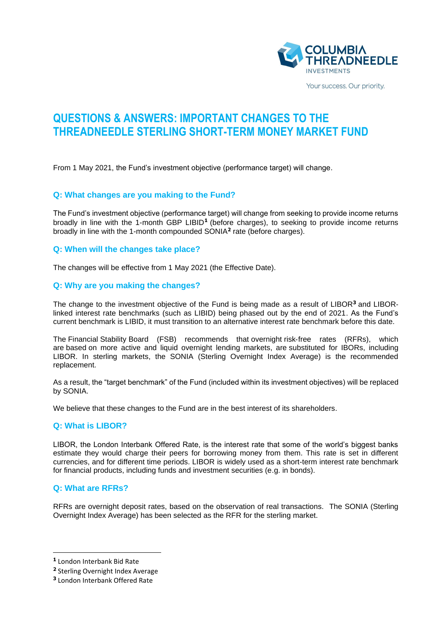

Your success. Our priority.

# **QUESTIONS & ANSWERS: IMPORTANT CHANGES TO THE THREADNEEDLE STERLING SHORT-TERM MONEY MARKET FUND**

From 1 May 2021, the Fund's investment objective (performance target) will change.

#### **Q: What changes are you making to the Fund?**

The Fund's investment objective (performance target) will change from seeking to provide income returns broadly in line with the 1-month GBP LIBID**<sup>1</sup>** (before charges), to seeking to provide income returns broadly in line with the 1-month compounded SONIA**<sup>2</sup>** rate (before charges).

#### **Q: When will the changes take place?**

The changes will be effective from 1 May 2021 (the Effective Date).

# **Q: Why are you making the changes?**

The change to the investment objective of the Fund is being made as a result of LIBOR**<sup>3</sup>** and LIBOR‐ linked interest rate benchmarks (such as LIBID) being phased out by the end of 2021. As the Fund's current benchmark is LIBID, it must transition to an alternative interest rate benchmark before this date.

The Financial Stability Board (FSB) recommends that overnight risk‐free rates (RFRs), which are based on more active and liquid overnight lending markets, are substituted for IBORs, including LIBOR. In sterling markets, the SONIA (Sterling Overnight Index Average) is the recommended replacement.

As a result, the "target benchmark" of the Fund (included within its investment objectives) will be replaced by SONIA.

We believe that these changes to the Fund are in the best interest of its shareholders.

#### **Q: What is LIBOR?**

LIBOR, the London Interbank Offered Rate, is the interest rate that some of the world's biggest banks estimate they would charge their peers for borrowing money from them. This rate is set in different currencies, and for different time periods. LIBOR is widely used as a short-term interest rate benchmark for financial products, including funds and investment securities (e.g. in bonds).

#### **Q: What are RFRs?**

RFRs are overnight deposit rates, based on the observation of real transactions. The SONIA (Sterling Overnight Index Average) has been selected as the RFR for the sterling market.

**<sup>1</sup>** London Interbank Bid Rate

**<sup>2</sup>** Sterling Overnight Index Average

**<sup>3</sup>** London Interbank Offered Rate